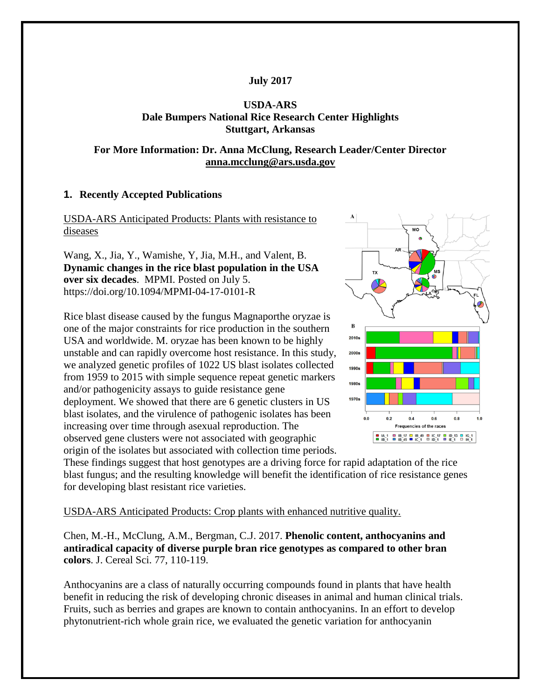## **July 2017**

## **USDA-ARS Dale Bumpers National Rice Research Center Highlights Stuttgart, Arkansas**

#### **For More Information: Dr. Anna McClung, Research Leader/Center Director [anna.mcclung@ars.usda.gov](mailto:anna.mcclung@ars.usda.gov)**

## **1. Recently Accepted Publications**

USDA-ARS Anticipated Products: Plants with resistance to diseases

Wang, X., Jia, Y., Wamishe, Y, Jia, M.H., and Valent, B. **Dynamic changes in the rice blast population in the USA over six decades**. MPMI. Posted on July 5. https://doi.org/10.1094/MPMI-04-17-0101-R

Rice blast disease caused by the fungus Magnaporthe oryzae is one of the major constraints for rice production in the southern USA and worldwide. M. oryzae has been known to be highly unstable and can rapidly overcome host resistance. In this study, we analyzed genetic profiles of 1022 US blast isolates collected from 1959 to 2015 with simple sequence repeat genetic markers and/or pathogenicity assays to guide resistance gene deployment. We showed that there are 6 genetic clusters in US blast isolates, and the virulence of pathogenic isolates has been increasing over time through asexual reproduction. The observed gene clusters were not associated with geographic origin of the isolates but associated with collection time periods.



These findings suggest that host genotypes are a driving force for rapid adaptation of the rice blast fungus; and the resulting knowledge will benefit the identification of rice resistance genes for developing blast resistant rice varieties.

USDA-ARS Anticipated Products: Crop plants with enhanced nutritive quality.

Chen, M.-H., McClung, A.M., Bergman, C.J. 2017. **Phenolic content, anthocyanins and antiradical capacity of diverse purple bran rice genotypes as compared to other bran colors**. J. Cereal Sci. 77, 110-119.

Anthocyanins are a class of naturally occurring compounds found in plants that have health benefit in reducing the risk of developing chronic diseases in animal and human clinical trials. Fruits, such as berries and grapes are known to contain anthocyanins. In an effort to develop phytonutrient-rich whole grain rice, we evaluated the genetic variation for anthocyanin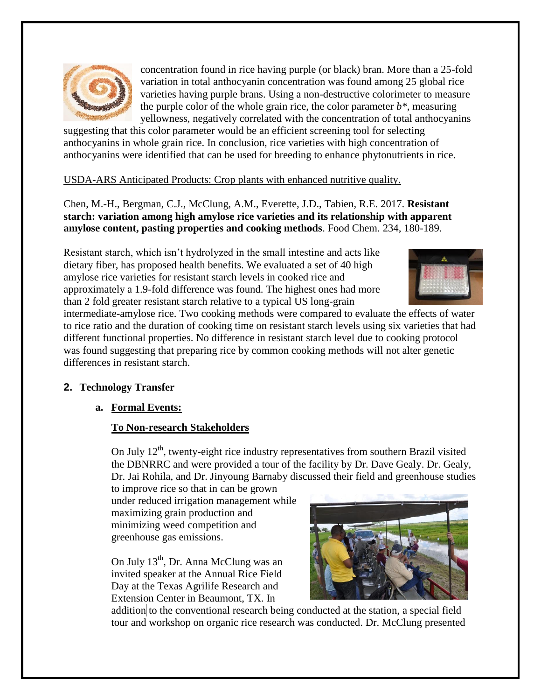

concentration found in rice having purple (or black) bran. More than a 25-fold variation in total anthocyanin concentration was found among 25 global rice varieties having purple brans. Using a non-destructive colorimeter to measure the purple color of the whole grain rice, the color parameter *b\**, measuring yellowness, negatively correlated with the concentration of total anthocyanins

suggesting that this color parameter would be an efficient screening tool for selecting anthocyanins in whole grain rice. In conclusion, rice varieties with high concentration of anthocyanins were identified that can be used for breeding to enhance phytonutrients in rice.

# USDA-ARS Anticipated Products: Crop plants with enhanced nutritive quality.

Chen, M.-H., Bergman, C.J., McClung, A.M., Everette, J.D., Tabien, R.E. 2017. **Resistant starch: variation among high amylose rice varieties and its relationship with apparent amylose content, pasting properties and cooking methods**. Food Chem. 234, 180-189.

Resistant starch, which isn't hydrolyzed in the small intestine and acts like dietary fiber, has proposed health benefits. We evaluated a set of 40 high amylose rice varieties for resistant starch levels in cooked rice and approximately a 1.9-fold difference was found. The highest ones had more than 2 fold greater resistant starch relative to a typical US long-grain



intermediate-amylose rice. Two cooking methods were compared to evaluate the effects of water to rice ratio and the duration of cooking time on resistant starch levels using six varieties that had different functional properties. No difference in resistant starch level due to cooking protocol was found suggesting that preparing rice by common cooking methods will not alter genetic differences in resistant starch.

# **2. Technology Transfer**

**a. Formal Events:**

# **To Non-research Stakeholders**

On July  $12<sup>th</sup>$ , twenty-eight rice industry representatives from southern Brazil visited the DBNRRC and were provided a tour of the facility by Dr. Dave Gealy. Dr. Gealy, Dr. Jai Rohila, and Dr. Jinyoung Barnaby discussed their field and greenhouse studies

to improve rice so that in can be grown under reduced irrigation management while maximizing grain production and minimizing weed competition and greenhouse gas emissions.

On July  $13<sup>th</sup>$ , Dr. Anna McClung was an invited speaker at the Annual Rice Field Day at the Texas Agrilife Research and Extension Center in Beaumont, TX. In



addition to the conventional research being conducted at the station, a special field tour and workshop on organic rice research was conducted. Dr. McClung presented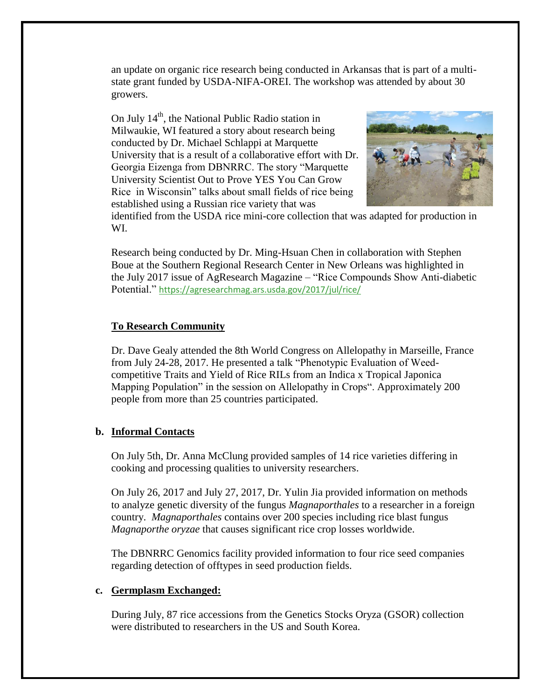an update on organic rice research being conducted in Arkansas that is part of a multistate grant funded by USDA-NIFA-OREI. The workshop was attended by about 30 growers.

On July 14<sup>th</sup>, the National Public Radio station in Milwaukie, WI featured a story about research being conducted by Dr. Michael Schlappi at Marquette University that is a result of a collaborative effort with Dr. Georgia Eizenga from DBNRRC. The story "Marquette University Scientist Out to Prove YES You Can Grow Rice in Wisconsin" talks about small fields of rice being established using a Russian rice variety that was



identified from the USDA rice mini-core collection that was adapted for production in WI.

Research being conducted by Dr. Ming-Hsuan Chen in collaboration with Stephen Boue at the Southern Regional Research Center in New Orleans was highlighted in the July 2017 issue of AgResearch Magazine – "Rice Compounds Show Anti-diabetic Potential." <https://agresearchmag.ars.usda.gov/2017/jul/rice/>

## **To Research Community**

Dr. Dave Gealy attended the 8th World Congress on Allelopathy in Marseille, France from July 24-28, 2017. He presented a talk "Phenotypic Evaluation of Weedcompetitive Traits and Yield of Rice RILs from an Indica x Tropical Japonica Mapping Population" in the session on Allelopathy in Crops". Approximately 200 people from more than 25 countries participated.

#### **b. Informal Contacts**

On July 5th, Dr. Anna McClung provided samples of 14 rice varieties differing in cooking and processing qualities to university researchers.

On July 26, 2017 and July 27, 2017, Dr. Yulin Jia provided information on methods to analyze genetic diversity of the fungus *Magnaporthales* to a researcher in a foreign country. *Magnaporthales* contains over 200 species including rice blast fungus *Magnaporthe oryzae* that causes significant rice crop losses worldwide.

The DBNRRC Genomics facility provided information to four rice seed companies regarding detection of offtypes in seed production fields.

#### **c. Germplasm Exchanged:**

During July, 87 rice accessions from the Genetics Stocks Oryza (GSOR) collection were distributed to researchers in the US and South Korea.